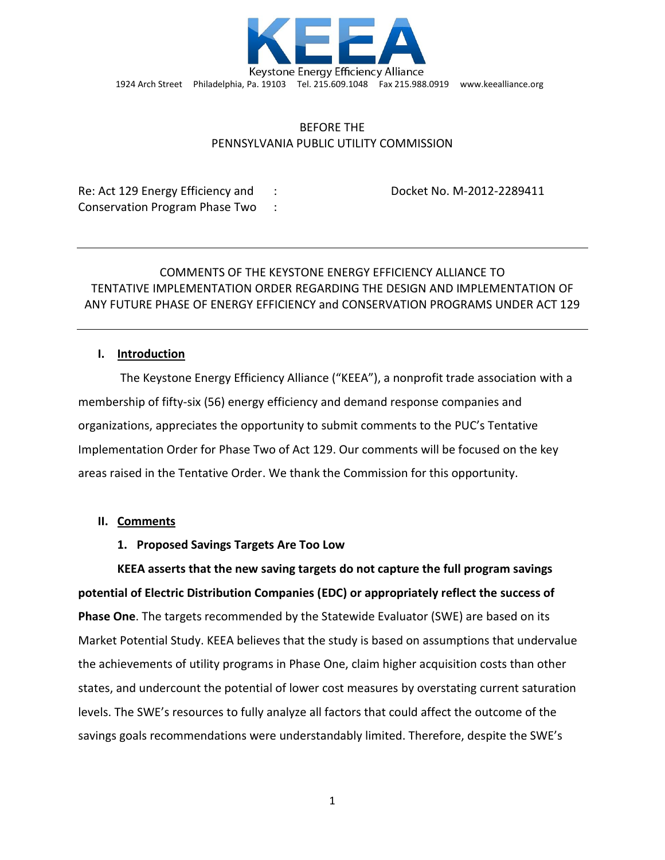

## BEFORE THE PENNSYLVANIA PUBLIC UTILITY COMMISSION

Re: Act 129 Energy Efficiency and : Docket No. M-2012-2289411 Conservation Program Phase Two :

# COMMENTS OF THE KEYSTONE ENERGY EFFICIENCY ALLIANCE TO TENTATIVE IMPLEMENTATION ORDER REGARDING THE DESIGN AND IMPLEMENTATION OF ANY FUTURE PHASE OF ENERGY EFFICIENCY and CONSERVATION PROGRAMS UNDER ACT 129

## **I. Introduction**

The Keystone Energy Efficiency Alliance ("KEEA"), a nonprofit trade association with a membership of fifty-six (56) energy efficiency and demand response companies and organizations, appreciates the opportunity to submit comments to the PUC's Tentative Implementation Order for Phase Two of Act 129. Our comments will be focused on the key areas raised in the Tentative Order. We thank the Commission for this opportunity.

## **II. Comments**

## **1. Proposed Savings Targets Are Too Low**

**KEEA asserts that the new saving targets do not capture the full program savings potential of Electric Distribution Companies (EDC) or appropriately reflect the success of Phase One**. The targets recommended by the Statewide Evaluator (SWE) are based on its Market Potential Study. KEEA believes that the study is based on assumptions that undervalue the achievements of utility programs in Phase One, claim higher acquisition costs than other states, and undercount the potential of lower cost measures by overstating current saturation levels. The SWE's resources to fully analyze all factors that could affect the outcome of the savings goals recommendations were understandably limited. Therefore, despite the SWE's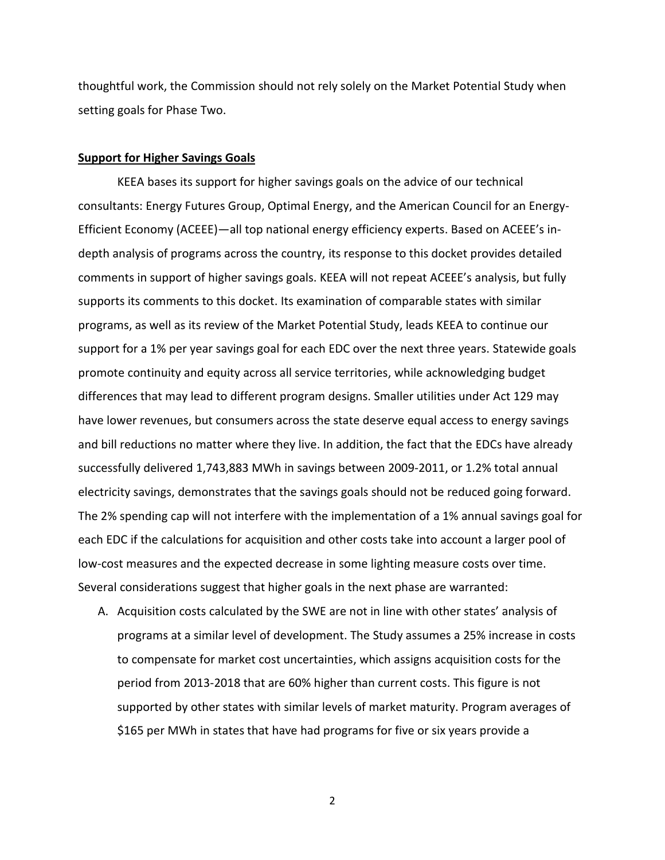thoughtful work, the Commission should not rely solely on the Market Potential Study when setting goals for Phase Two.

#### **Support for Higher Savings Goals**

KEEA bases its support for higher savings goals on the advice of our technical consultants: Energy Futures Group, Optimal Energy, and the American Council for an Energy-Efficient Economy (ACEEE)—all top national energy efficiency experts. Based on ACEEE's indepth analysis of programs across the country, its response to this docket provides detailed comments in support of higher savings goals. KEEA will not repeat ACEEE's analysis, but fully supports its comments to this docket. Its examination of comparable states with similar programs, as well as its review of the Market Potential Study, leads KEEA to continue our support for a 1% per year savings goal for each EDC over the next three years. Statewide goals promote continuity and equity across all service territories, while acknowledging budget differences that may lead to different program designs. Smaller utilities under Act 129 may have lower revenues, but consumers across the state deserve equal access to energy savings and bill reductions no matter where they live. In addition, the fact that the EDCs have already successfully delivered 1,743,883 MWh in savings between 2009-2011, or 1.2% total annual electricity savings, demonstrates that the savings goals should not be reduced going forward. The 2% spending cap will not interfere with the implementation of a 1% annual savings goal for each EDC if the calculations for acquisition and other costs take into account a larger pool of low-cost measures and the expected decrease in some lighting measure costs over time. Several considerations suggest that higher goals in the next phase are warranted:

A. Acquisition costs calculated by the SWE are not in line with other states' analysis of programs at a similar level of development. The Study assumes a 25% increase in costs to compensate for market cost uncertainties, which assigns acquisition costs for the period from 2013-2018 that are 60% higher than current costs. This figure is not supported by other states with similar levels of market maturity. Program averages of \$165 per MWh in states that have had programs for five or six years provide a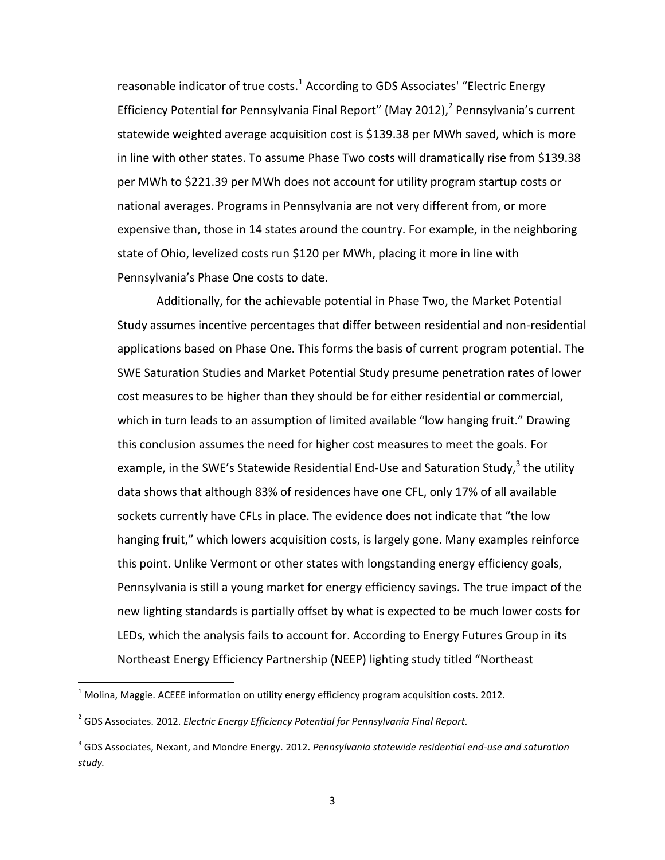reasonable indicator of true costs.<sup>1</sup> According to GDS Associates' "Electric Energy Efficiency Potential for Pennsylvania Final Report" (May 2012), $^2$  Pennsylvania's current statewide weighted average acquisition cost is \$139.38 per MWh saved, which is more in line with other states. To assume Phase Two costs will dramatically rise from \$139.38 per MWh to \$221.39 per MWh does not account for utility program startup costs or national averages. Programs in Pennsylvania are not very different from, or more expensive than, those in 14 states around the country. For example, in the neighboring state of Ohio, levelized costs run \$120 per MWh, placing it more in line with Pennsylvania's Phase One costs to date.

Additionally, for the achievable potential in Phase Two, the Market Potential Study assumes incentive percentages that differ between residential and non-residential applications based on Phase One. This forms the basis of current program potential. The SWE Saturation Studies and Market Potential Study presume penetration rates of lower cost measures to be higher than they should be for either residential or commercial, which in turn leads to an assumption of limited available "low hanging fruit." Drawing this conclusion assumes the need for higher cost measures to meet the goals. For example, in the SWE's Statewide Residential End-Use and Saturation Study,<sup>3</sup> the utility data shows that although 83% of residences have one CFL, only 17% of all available sockets currently have CFLs in place. The evidence does not indicate that "the low hanging fruit," which lowers acquisition costs, is largely gone. Many examples reinforce this point. Unlike Vermont or other states with longstanding energy efficiency goals, Pennsylvania is still a young market for energy efficiency savings. The true impact of the new lighting standards is partially offset by what is expected to be much lower costs for LEDs, which the analysis fails to account for. According to Energy Futures Group in its Northeast Energy Efficiency Partnership (NEEP) lighting study titled "Northeast

 $\overline{\phantom{a}}$ 

 $1$  Molina, Maggie. ACEEE information on utility energy efficiency program acquisition costs. 2012.

<sup>2</sup> GDS Associates. 2012. *Electric Energy Efficiency Potential for Pennsylvania Final Report.*

<sup>3</sup> GDS Associates, Nexant, and Mondre Energy. 2012. *Pennsylvania statewide residential end-use and saturation study.*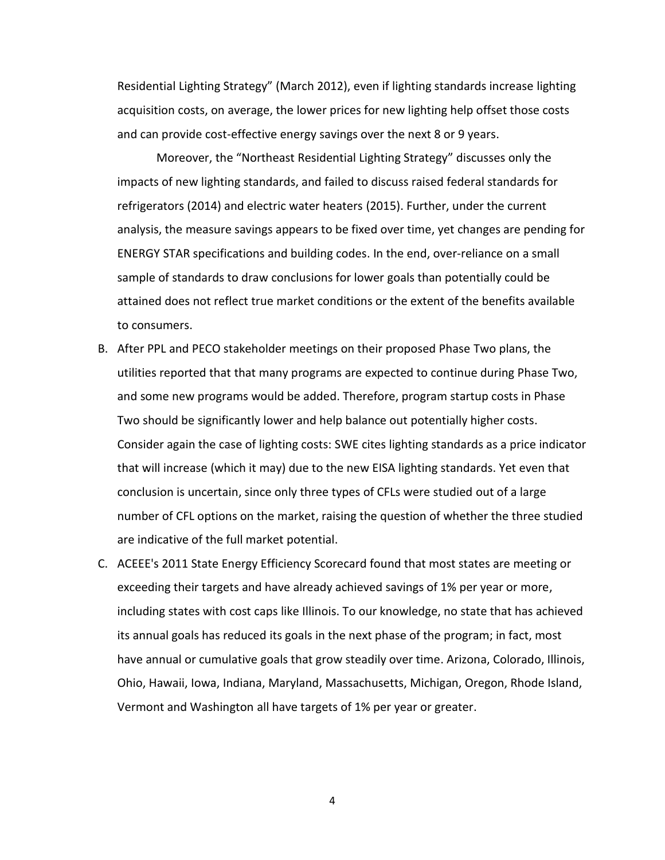Residential Lighting Strategy" (March 2012), even if lighting standards increase lighting acquisition costs, on average, the lower prices for new lighting help offset those costs and can provide cost-effective energy savings over the next 8 or 9 years.

Moreover, the "Northeast Residential Lighting Strategy" discusses only the impacts of new lighting standards, and failed to discuss raised federal standards for refrigerators (2014) and electric water heaters (2015). Further, under the current analysis, the measure savings appears to be fixed over time, yet changes are pending for ENERGY STAR specifications and building codes. In the end, over-reliance on a small sample of standards to draw conclusions for lower goals than potentially could be attained does not reflect true market conditions or the extent of the benefits available to consumers.

- B. After PPL and PECO stakeholder meetings on their proposed Phase Two plans, the utilities reported that that many programs are expected to continue during Phase Two, and some new programs would be added. Therefore, program startup costs in Phase Two should be significantly lower and help balance out potentially higher costs. Consider again the case of lighting costs: SWE cites lighting standards as a price indicator that will increase (which it may) due to the new EISA lighting standards. Yet even that conclusion is uncertain, since only three types of CFLs were studied out of a large number of CFL options on the market, raising the question of whether the three studied are indicative of the full market potential.
- C. ACEEE's 2011 State Energy Efficiency Scorecard found that most states are meeting or exceeding their targets and have already achieved savings of 1% per year or more, including states with cost caps like Illinois. To our knowledge, no state that has achieved its annual goals has reduced its goals in the next phase of the program; in fact, most have annual or cumulative goals that grow steadily over time. Arizona, Colorado, Illinois, Ohio, Hawaii, Iowa, Indiana, Maryland, Massachusetts, Michigan, Oregon, Rhode Island, Vermont and Washington all have targets of 1% per year or greater.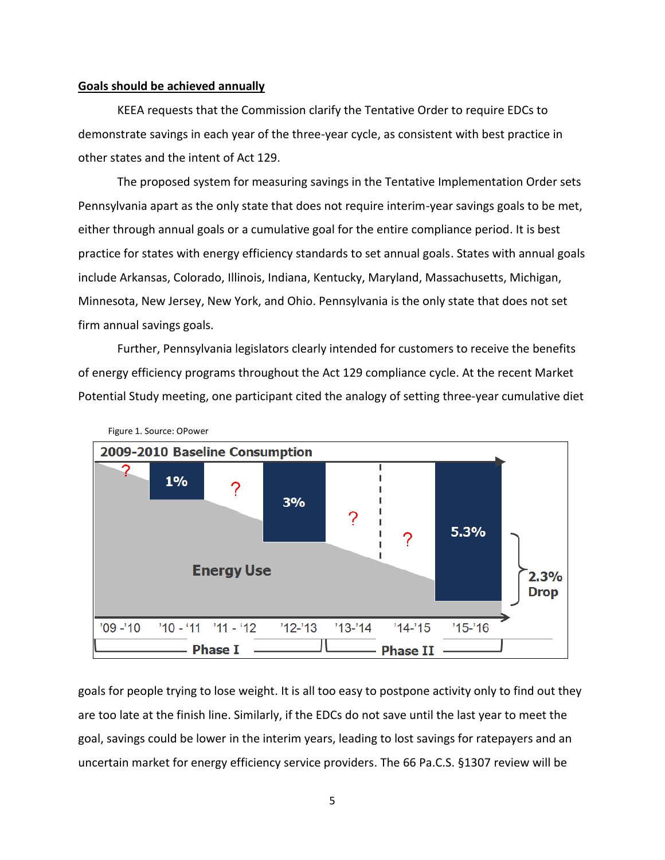#### **Goals should be achieved annually**

KEEA requests that the Commission clarify the Tentative Order to require EDCs to demonstrate savings in each year of the three-year cycle, as consistent with best practice in other states and the intent of Act 129.

The proposed system for measuring savings in the Tentative Implementation Order sets Pennsylvania apart as the only state that does not require interim-year savings goals to be met, either through annual goals or a cumulative goal for the entire compliance period. It is best practice for states with energy efficiency standards to set annual goals. States with annual goals include Arkansas, Colorado, Illinois, Indiana, Kentucky, Maryland, Massachusetts, Michigan, Minnesota, New Jersey, New York, and Ohio. Pennsylvania is the only state that does not set firm annual savings goals.

Further, Pennsylvania legislators clearly intended for customers to receive the benefits of energy efficiency programs throughout the Act 129 compliance cycle. At the recent Market Potential Study meeting, one participant cited the analogy of setting three-year cumulative diet



goals for people trying to lose weight. It is all too easy to postpone activity only to find out they are too late at the finish line. Similarly, if the EDCs do not save until the last year to meet the goal, savings could be lower in the interim years, leading to lost savings for ratepayers and an uncertain market for energy efficiency service providers. The 66 Pa.C.S. §1307 review will be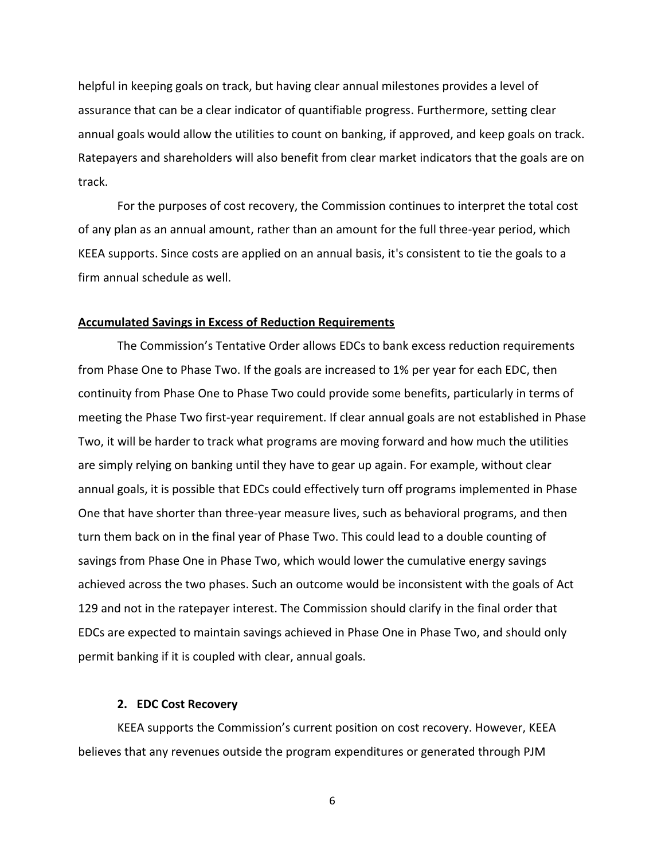helpful in keeping goals on track, but having clear annual milestones provides a level of assurance that can be a clear indicator of quantifiable progress. Furthermore, setting clear annual goals would allow the utilities to count on banking, if approved, and keep goals on track. Ratepayers and shareholders will also benefit from clear market indicators that the goals are on track.

For the purposes of cost recovery, the Commission continues to interpret the total cost of any plan as an annual amount, rather than an amount for the full three-year period, which KEEA supports. Since costs are applied on an annual basis, it's consistent to tie the goals to a firm annual schedule as well.

## **Accumulated Savings in Excess of Reduction Requirements**

The Commission's Tentative Order allows EDCs to bank excess reduction requirements from Phase One to Phase Two. If the goals are increased to 1% per year for each EDC, then continuity from Phase One to Phase Two could provide some benefits, particularly in terms of meeting the Phase Two first-year requirement. If clear annual goals are not established in Phase Two, it will be harder to track what programs are moving forward and how much the utilities are simply relying on banking until they have to gear up again. For example, without clear annual goals, it is possible that EDCs could effectively turn off programs implemented in Phase One that have shorter than three-year measure lives, such as behavioral programs, and then turn them back on in the final year of Phase Two. This could lead to a double counting of savings from Phase One in Phase Two, which would lower the cumulative energy savings achieved across the two phases. Such an outcome would be inconsistent with the goals of Act 129 and not in the ratepayer interest. The Commission should clarify in the final order that EDCs are expected to maintain savings achieved in Phase One in Phase Two, and should only permit banking if it is coupled with clear, annual goals.

### **2. EDC Cost Recovery**

KEEA supports the Commission's current position on cost recovery. However, KEEA believes that any revenues outside the program expenditures or generated through PJM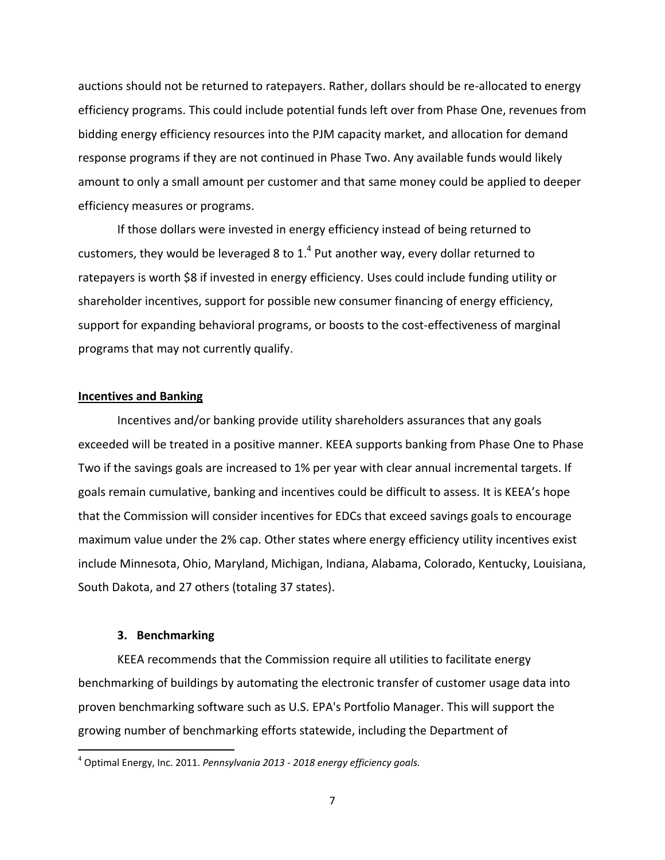auctions should not be returned to ratepayers. Rather, dollars should be re-allocated to energy efficiency programs. This could include potential funds left over from Phase One, revenues from bidding energy efficiency resources into the PJM capacity market, and allocation for demand response programs if they are not continued in Phase Two. Any available funds would likely amount to only a small amount per customer and that same money could be applied to deeper efficiency measures or programs.

If those dollars were invested in energy efficiency instead of being returned to customers, they would be leveraged 8 to 1.<sup>4</sup> Put another way, every dollar returned to ratepayers is worth \$8 if invested in energy efficiency. Uses could include funding utility or shareholder incentives, support for possible new consumer financing of energy efficiency, support for expanding behavioral programs, or boosts to the cost-effectiveness of marginal programs that may not currently qualify.

## **Incentives and Banking**

Incentives and/or banking provide utility shareholders assurances that any goals exceeded will be treated in a positive manner. KEEA supports banking from Phase One to Phase Two if the savings goals are increased to 1% per year with clear annual incremental targets. If goals remain cumulative, banking and incentives could be difficult to assess. It is KEEA's hope that the Commission will consider incentives for EDCs that exceed savings goals to encourage maximum value under the 2% cap. Other states where energy efficiency utility incentives exist include Minnesota, Ohio, Maryland, Michigan, Indiana, Alabama, Colorado, Kentucky, Louisiana, South Dakota, and 27 others (totaling 37 states).

#### **3. Benchmarking**

l

KEEA recommends that the Commission require all utilities to facilitate energy benchmarking of buildings by automating the electronic transfer of customer usage data into proven benchmarking software such as U.S. EPA's Portfolio Manager. This will support the growing number of benchmarking efforts statewide, including the Department of

<sup>4</sup> Optimal Energy, Inc. 2011. *Pennsylvania 2013 - 2018 energy efficiency goals.*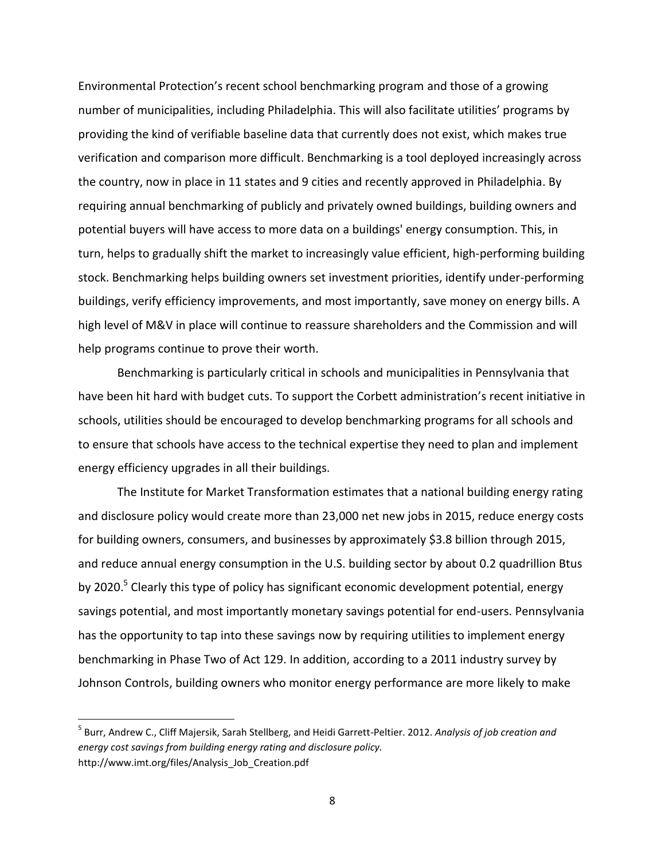Environmental Protection's recent school benchmarking program and those of a growing number of municipalities, including Philadelphia. This will also facilitate utilities' programs by providing the kind of verifiable baseline data that currently does not exist, which makes true verification and comparison more difficult. Benchmarking is a tool deployed increasingly across the country, now in place in 11 states and 9 cities and recently approved in Philadelphia. By requiring annual benchmarking of publicly and privately owned buildings, building owners and potential buyers will have access to more data on a buildings' energy consumption. This, in turn, helps to gradually shift the market to increasingly value efficient, high-performing building stock. Benchmarking helps building owners set investment priorities, identify under-performing buildings, verify efficiency improvements, and most importantly, save money on energy bills. A high level of M&V in place will continue to reassure shareholders and the Commission and will help programs continue to prove their worth.

Benchmarking is particularly critical in schools and municipalities in Pennsylvania that have been hit hard with budget cuts. To support the Corbett administration's recent initiative in schools, utilities should be encouraged to develop benchmarking programs for all schools and to ensure that schools have access to the technical expertise they need to plan and implement energy efficiency upgrades in all their buildings.

The Institute for Market Transformation estimates that a national building energy rating and disclosure policy would create more than 23,000 net new jobs in 2015, reduce energy costs for building owners, consumers, and businesses by approximately \$3.8 billion through 2015, and reduce annual energy consumption in the U.S. building sector by about 0.2 quadrillion Btus by 2020.<sup>5</sup> Clearly this type of policy has significant economic development potential, energy savings potential, and most importantly monetary savings potential for end-users. Pennsylvania has the opportunity to tap into these savings now by requiring utilities to implement energy benchmarking in Phase Two of Act 129. In addition, according to a 2011 industry survey by Johnson Controls, building owners who monitor energy performance are more likely to make

l

<sup>5</sup> Burr, Andrew C., Cliff Majersik, Sarah Stellberg, and Heidi Garrett-Peltier. 2012. *Analysis of job creation and energy cost savings from building energy rating and disclosure policy.* http://www.imt.org/files/Analysis\_Job\_Creation.pdf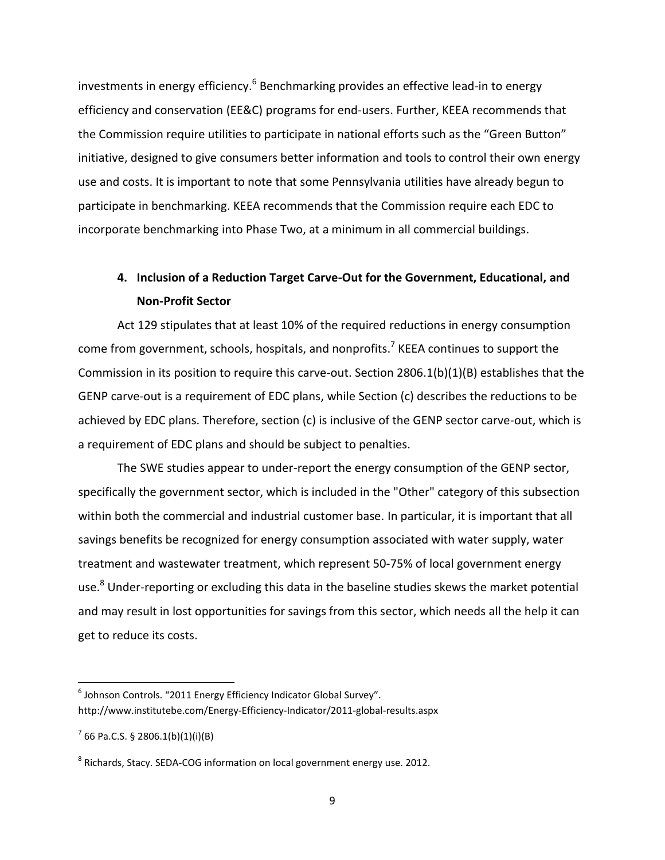investments in energy efficiency.<sup>6</sup> Benchmarking provides an effective lead-in to energy efficiency and conservation (EE&C) programs for end-users. Further, KEEA recommends that the Commission require utilities to participate in national efforts such as the "Green Button" initiative, designed to give consumers better information and tools to control their own energy use and costs. It is important to note that some Pennsylvania utilities have already begun to participate in benchmarking. KEEA recommends that the Commission require each EDC to incorporate benchmarking into Phase Two, at a minimum in all commercial buildings.

# **4. Inclusion of a Reduction Target Carve-Out for the Government, Educational, and Non-Profit Sector**

Act 129 stipulates that at least 10% of the required reductions in energy consumption come from government, schools, hospitals, and nonprofits.<sup>7</sup> KEEA continues to support the Commission in its position to require this carve-out. Section 2806.1(b)(1)(B) establishes that the GENP carve-out is a requirement of EDC plans, while Section (c) describes the reductions to be achieved by EDC plans. Therefore, section (c) is inclusive of the GENP sector carve-out, which is a requirement of EDC plans and should be subject to penalties.

The SWE studies appear to under-report the energy consumption of the GENP sector, specifically the government sector, which is included in the "Other" category of this subsection within both the commercial and industrial customer base. In particular, it is important that all savings benefits be recognized for energy consumption associated with water supply, water treatment and wastewater treatment, which represent 50-75% of local government energy use.<sup>8</sup> Under-reporting or excluding this data in the baseline studies skews the market potential and may result in lost opportunities for savings from this sector, which needs all the help it can get to reduce its costs.

 $\overline{\phantom{a}}$ 

 $^6$  Johnson Controls. "2011 Energy Efficiency Indicator Global Survey". http://www.institutebe.com/Energy‐Efficiency‐Indicator/2011‐global‐results.aspx

 $7$  66 Pa.C.S. § 2806.1(b)(1)(i)(B)

 $^8$  Richards, Stacy. SEDA-COG information on local government energy use. 2012.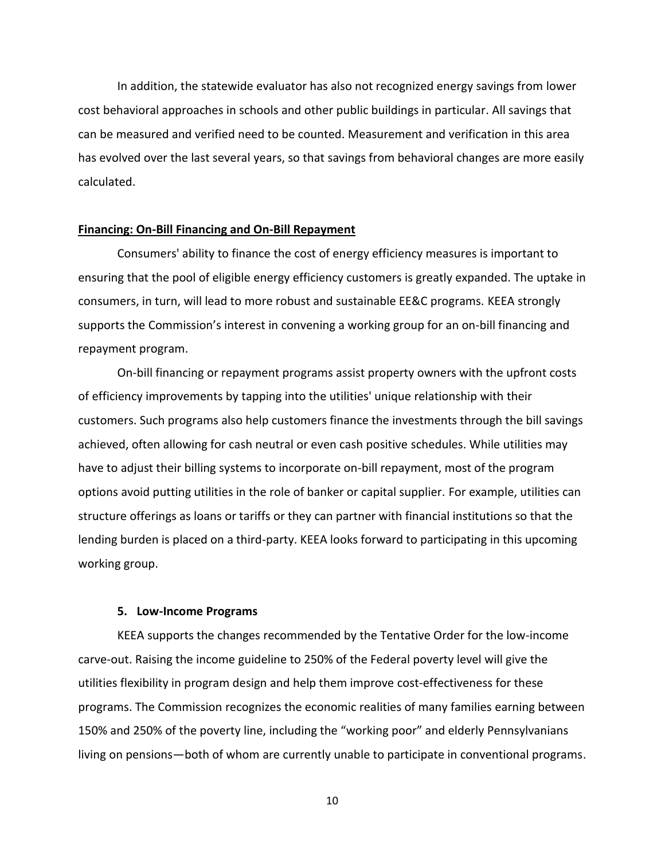In addition, the statewide evaluator has also not recognized energy savings from lower cost behavioral approaches in schools and other public buildings in particular. All savings that can be measured and verified need to be counted. Measurement and verification in this area has evolved over the last several years, so that savings from behavioral changes are more easily calculated.

#### **Financing: On-Bill Financing and On-Bill Repayment**

Consumers' ability to finance the cost of energy efficiency measures is important to ensuring that the pool of eligible energy efficiency customers is greatly expanded. The uptake in consumers, in turn, will lead to more robust and sustainable EE&C programs. KEEA strongly supports the Commission's interest in convening a working group for an on-bill financing and repayment program.

On-bill financing or repayment programs assist property owners with the upfront costs of efficiency improvements by tapping into the utilities' unique relationship with their customers. Such programs also help customers finance the investments through the bill savings achieved, often allowing for cash neutral or even cash positive schedules. While utilities may have to adjust their billing systems to incorporate on-bill repayment, most of the program options avoid putting utilities in the role of banker or capital supplier. For example, utilities can structure offerings as loans or tariffs or they can partner with financial institutions so that the lending burden is placed on a third-party. KEEA looks forward to participating in this upcoming working group.

#### **5. Low-Income Programs**

KEEA supports the changes recommended by the Tentative Order for the low-income carve-out. Raising the income guideline to 250% of the Federal poverty level will give the utilities flexibility in program design and help them improve cost-effectiveness for these programs. The Commission recognizes the economic realities of many families earning between 150% and 250% of the poverty line, including the "working poor" and elderly Pennsylvanians living on pensions—both of whom are currently unable to participate in conventional programs.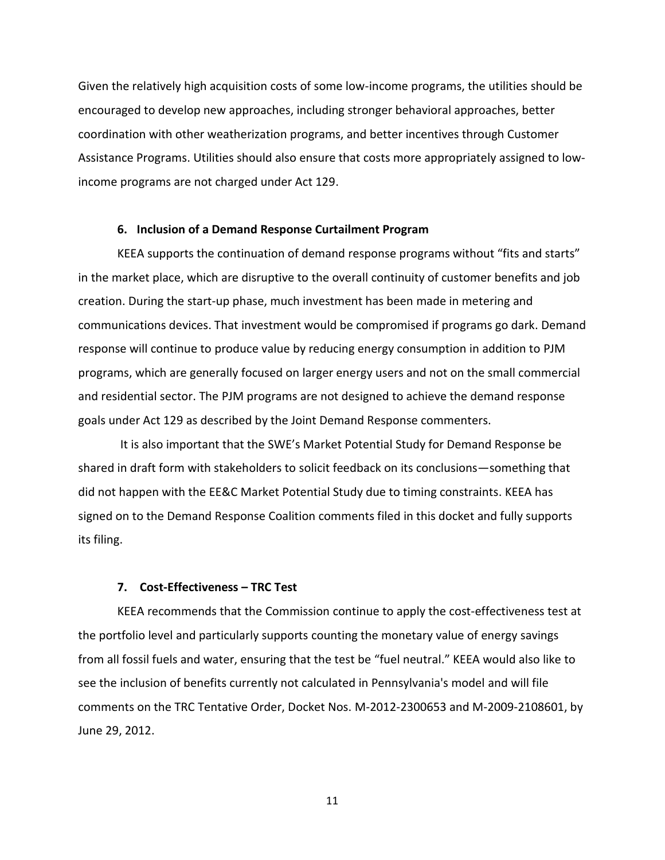Given the relatively high acquisition costs of some low-income programs, the utilities should be encouraged to develop new approaches, including stronger behavioral approaches, better coordination with other weatherization programs, and better incentives through Customer Assistance Programs. Utilities should also ensure that costs more appropriately assigned to lowincome programs are not charged under Act 129.

#### **6. Inclusion of a Demand Response Curtailment Program**

KEEA supports the continuation of demand response programs without "fits and starts" in the market place, which are disruptive to the overall continuity of customer benefits and job creation. During the start-up phase, much investment has been made in metering and communications devices. That investment would be compromised if programs go dark. Demand response will continue to produce value by reducing energy consumption in addition to PJM programs, which are generally focused on larger energy users and not on the small commercial and residential sector. The PJM programs are not designed to achieve the demand response goals under Act 129 as described by the Joint Demand Response commenters.

It is also important that the SWE's Market Potential Study for Demand Response be shared in draft form with stakeholders to solicit feedback on its conclusions—something that did not happen with the EE&C Market Potential Study due to timing constraints. KEEA has signed on to the Demand Response Coalition comments filed in this docket and fully supports its filing.

## **7. Cost-Effectiveness – TRC Test**

KEEA recommends that the Commission continue to apply the cost-effectiveness test at the portfolio level and particularly supports counting the monetary value of energy savings from all fossil fuels and water, ensuring that the test be "fuel neutral." KEEA would also like to see the inclusion of benefits currently not calculated in Pennsylvania's model and will file comments on the TRC Tentative Order, Docket Nos. M-2012-2300653 and M-2009-2108601, by June 29, 2012.